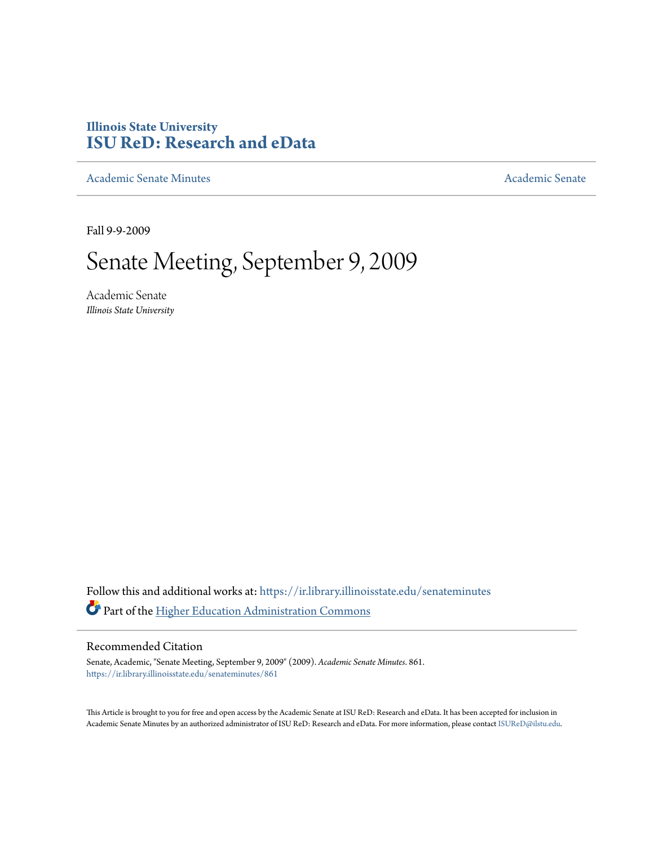# **Illinois State University [ISU ReD: Research and eData](https://ir.library.illinoisstate.edu?utm_source=ir.library.illinoisstate.edu%2Fsenateminutes%2F861&utm_medium=PDF&utm_campaign=PDFCoverPages)**

[Academic Senate Minutes](https://ir.library.illinoisstate.edu/senateminutes?utm_source=ir.library.illinoisstate.edu%2Fsenateminutes%2F861&utm_medium=PDF&utm_campaign=PDFCoverPages) [Academic Senate](https://ir.library.illinoisstate.edu/senate?utm_source=ir.library.illinoisstate.edu%2Fsenateminutes%2F861&utm_medium=PDF&utm_campaign=PDFCoverPages) Academic Senate

Fall 9-9-2009

# Senate Meeting, September 9, 2009

Academic Senate *Illinois State University*

Follow this and additional works at: [https://ir.library.illinoisstate.edu/senateminutes](https://ir.library.illinoisstate.edu/senateminutes?utm_source=ir.library.illinoisstate.edu%2Fsenateminutes%2F861&utm_medium=PDF&utm_campaign=PDFCoverPages) Part of the [Higher Education Administration Commons](http://network.bepress.com/hgg/discipline/791?utm_source=ir.library.illinoisstate.edu%2Fsenateminutes%2F861&utm_medium=PDF&utm_campaign=PDFCoverPages)

#### Recommended Citation

Senate, Academic, "Senate Meeting, September 9, 2009" (2009). *Academic Senate Minutes*. 861. [https://ir.library.illinoisstate.edu/senateminutes/861](https://ir.library.illinoisstate.edu/senateminutes/861?utm_source=ir.library.illinoisstate.edu%2Fsenateminutes%2F861&utm_medium=PDF&utm_campaign=PDFCoverPages)

This Article is brought to you for free and open access by the Academic Senate at ISU ReD: Research and eData. It has been accepted for inclusion in Academic Senate Minutes by an authorized administrator of ISU ReD: Research and eData. For more information, please contact [ISUReD@ilstu.edu.](mailto:ISUReD@ilstu.edu)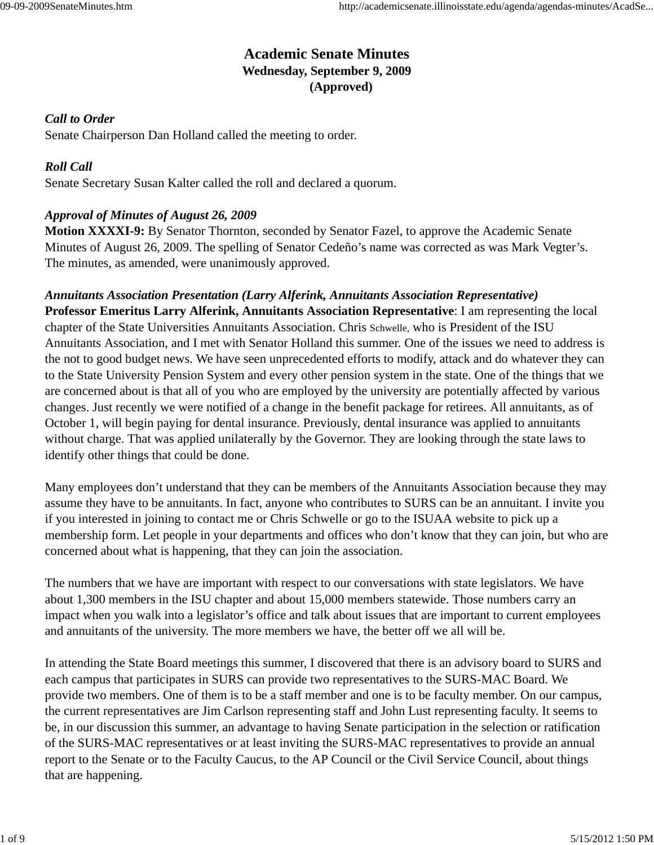# **Academic Senate Minutes Wednesday, September 9, 2009 (Approved)**

## *Call to Order*

Senate Chairperson Dan Holland called the meeting to order.

#### *Roll Call*

Senate Secretary Susan Kalter called the roll and declared a quorum.

#### *Approval of Minutes of August 26, 2009*

**Motion XXXXI-9:** By Senator Thornton, seconded by Senator Fazel, to approve the Academic Senate Minutes of August 26, 2009. The spelling of Senator Cedeño's name was corrected as was Mark Vegter's. The minutes, as amended, were unanimously approved.

*Annuitants Association Presentation (Larry Alferink, Annuitants Association Representative)* **Professor Emeritus Larry Alferink, Annuitants Association Representative**: I am representing the local chapter of the State Universities Annuitants Association. Chris Schwelle, who is President of the ISU Annuitants Association, and I met with Senator Holland this summer. One of the issues we need to address is the not to good budget news. We have seen unprecedented efforts to modify, attack and do whatever they can to the State University Pension System and every other pension system in the state. One of the things that we are concerned about is that all of you who are employed by the university are potentially affected by various changes. Just recently we were notified of a change in the benefit package for retirees. All annuitants, as of October 1, will begin paying for dental insurance. Previously, dental insurance was applied to annuitants without charge. That was applied unilaterally by the Governor. They are looking through the state laws to identify other things that could be done.

Many employees don't understand that they can be members of the Annuitants Association because they may assume they have to be annuitants. In fact, anyone who contributes to SURS can be an annuitant. I invite you if you interested in joining to contact me or Chris Schwelle or go to the ISUAA website to pick up a membership form. Let people in your departments and offices who don't know that they can join, but who are concerned about what is happening, that they can join the association.

The numbers that we have are important with respect to our conversations with state legislators. We have about 1,300 members in the ISU chapter and about 15,000 members statewide. Those numbers carry an impact when you walk into a legislator's office and talk about issues that are important to current employees and annuitants of the university. The more members we have, the better off we all will be.

In attending the State Board meetings this summer, I discovered that there is an advisory board to SURS and each campus that participates in SURS can provide two representatives to the SURS-MAC Board. We provide two members. One of them is to be a staff member and one is to be faculty member. On our campus, the current representatives are Jim Carlson representing staff and John Lust representing faculty. It seems to be, in our discussion this summer, an advantage to having Senate participation in the selection or ratification of the SURS-MAC representatives or at least inviting the SURS-MAC representatives to provide an annual report to the Senate or to the Faculty Caucus, to the AP Council or the Civil Service Council, about things that are happening.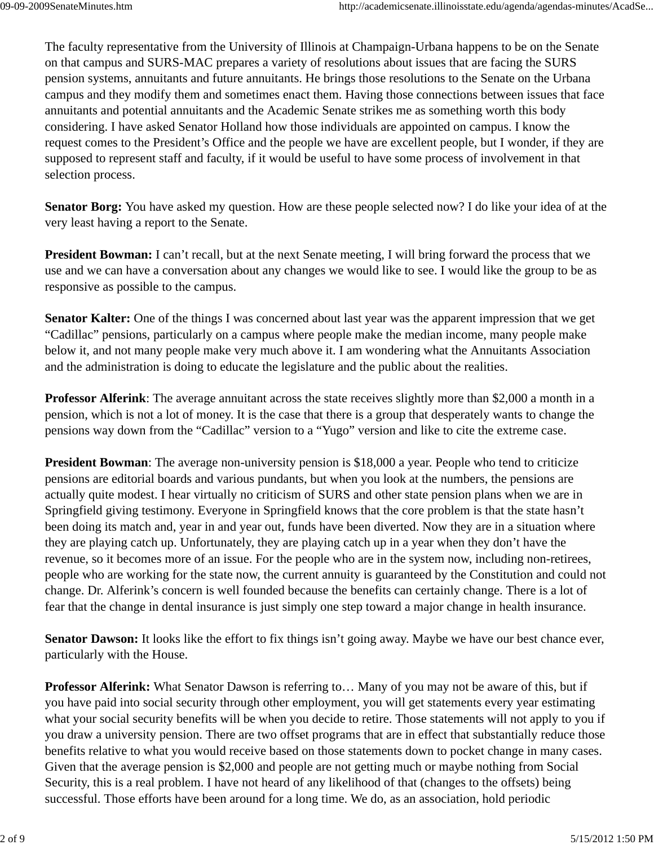The faculty representative from the University of Illinois at Champaign-Urbana happens to be on the Senate on that campus and SURS-MAC prepares a variety of resolutions about issues that are facing the SURS pension systems, annuitants and future annuitants. He brings those resolutions to the Senate on the Urbana campus and they modify them and sometimes enact them. Having those connections between issues that face annuitants and potential annuitants and the Academic Senate strikes me as something worth this body considering. I have asked Senator Holland how those individuals are appointed on campus. I know the request comes to the President's Office and the people we have are excellent people, but I wonder, if they are supposed to represent staff and faculty, if it would be useful to have some process of involvement in that selection process.

**Senator Borg:** You have asked my question. How are these people selected now? I do like your idea of at the very least having a report to the Senate.

**President Bowman:** I can't recall, but at the next Senate meeting, I will bring forward the process that we use and we can have a conversation about any changes we would like to see. I would like the group to be as responsive as possible to the campus.

**Senator Kalter:** One of the things I was concerned about last year was the apparent impression that we get "Cadillac" pensions, particularly on a campus where people make the median income, many people make below it, and not many people make very much above it. I am wondering what the Annuitants Association and the administration is doing to educate the legislature and the public about the realities.

**Professor Alferink**: The average annuitant across the state receives slightly more than \$2,000 a month in a pension, which is not a lot of money. It is the case that there is a group that desperately wants to change the pensions way down from the "Cadillac" version to a "Yugo" version and like to cite the extreme case.

**President Bowman**: The average non-university pension is \$18,000 a year. People who tend to criticize pensions are editorial boards and various pundants, but when you look at the numbers, the pensions are actually quite modest. I hear virtually no criticism of SURS and other state pension plans when we are in Springfield giving testimony. Everyone in Springfield knows that the core problem is that the state hasn't been doing its match and, year in and year out, funds have been diverted. Now they are in a situation where they are playing catch up. Unfortunately, they are playing catch up in a year when they don't have the revenue, so it becomes more of an issue. For the people who are in the system now, including non-retirees, people who are working for the state now, the current annuity is guaranteed by the Constitution and could not change. Dr. Alferink's concern is well founded because the benefits can certainly change. There is a lot of fear that the change in dental insurance is just simply one step toward a major change in health insurance.

**Senator Dawson:** It looks like the effort to fix things isn't going away. Maybe we have our best chance ever, particularly with the House.

**Professor Alferink:** What Senator Dawson is referring to… Many of you may not be aware of this, but if you have paid into social security through other employment, you will get statements every year estimating what your social security benefits will be when you decide to retire. Those statements will not apply to you if you draw a university pension. There are two offset programs that are in effect that substantially reduce those benefits relative to what you would receive based on those statements down to pocket change in many cases. Given that the average pension is \$2,000 and people are not getting much or maybe nothing from Social Security, this is a real problem. I have not heard of any likelihood of that (changes to the offsets) being successful. Those efforts have been around for a long time. We do, as an association, hold periodic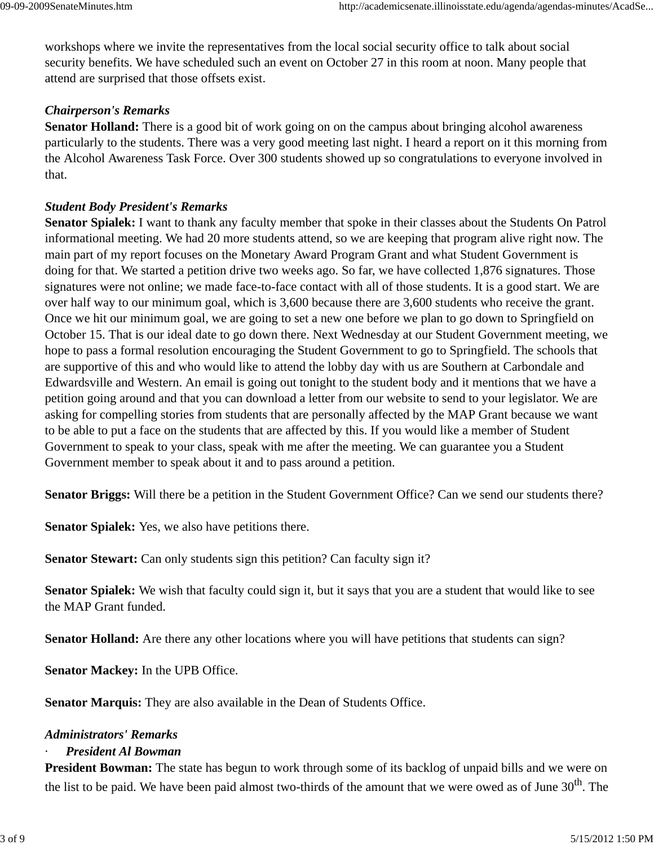workshops where we invite the representatives from the local social security office to talk about social security benefits. We have scheduled such an event on October 27 in this room at noon. Many people that attend are surprised that those offsets exist.

#### *Chairperson's Remarks*

**Senator Holland:** There is a good bit of work going on on the campus about bringing alcohol awareness particularly to the students. There was a very good meeting last night. I heard a report on it this morning from the Alcohol Awareness Task Force. Over 300 students showed up so congratulations to everyone involved in that.

#### *Student Body President's Remarks*

**Senator Spialek:** I want to thank any faculty member that spoke in their classes about the Students On Patrol informational meeting. We had 20 more students attend, so we are keeping that program alive right now. The main part of my report focuses on the Monetary Award Program Grant and what Student Government is doing for that. We started a petition drive two weeks ago. So far, we have collected 1,876 signatures. Those signatures were not online; we made face-to-face contact with all of those students. It is a good start. We are over half way to our minimum goal, which is 3,600 because there are 3,600 students who receive the grant. Once we hit our minimum goal, we are going to set a new one before we plan to go down to Springfield on October 15. That is our ideal date to go down there. Next Wednesday at our Student Government meeting, we hope to pass a formal resolution encouraging the Student Government to go to Springfield. The schools that are supportive of this and who would like to attend the lobby day with us are Southern at Carbondale and Edwardsville and Western. An email is going out tonight to the student body and it mentions that we have a petition going around and that you can download a letter from our website to send to your legislator. We are asking for compelling stories from students that are personally affected by the MAP Grant because we want to be able to put a face on the students that are affected by this. If you would like a member of Student Government to speak to your class, speak with me after the meeting. We can guarantee you a Student Government member to speak about it and to pass around a petition.

**Senator Briggs:** Will there be a petition in the Student Government Office? Can we send our students there?

**Senator Spialek:** Yes, we also have petitions there.

**Senator Stewart:** Can only students sign this petition? Can faculty sign it?

**Senator Spialek:** We wish that faculty could sign it, but it says that you are a student that would like to see the MAP Grant funded.

**Senator Holland:** Are there any other locations where you will have petitions that students can sign?

**Senator Mackey:** In the UPB Office.

**Senator Marquis:** They are also available in the Dean of Students Office.

#### *Administrators' Remarks*

#### · *President Al Bowman*

**President Bowman:** The state has begun to work through some of its backlog of unpaid bills and we were on the list to be paid. We have been paid almost two-thirds of the amount that we were owed as of June  $30<sup>th</sup>$ . The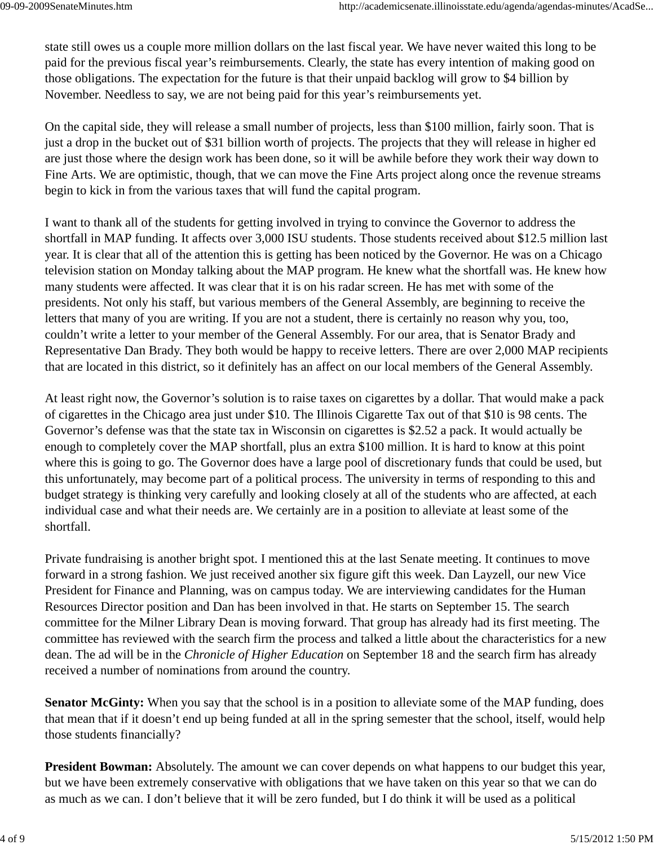state still owes us a couple more million dollars on the last fiscal year. We have never waited this long to be paid for the previous fiscal year's reimbursements. Clearly, the state has every intention of making good on those obligations. The expectation for the future is that their unpaid backlog will grow to \$4 billion by November. Needless to say, we are not being paid for this year's reimbursements yet.

On the capital side, they will release a small number of projects, less than \$100 million, fairly soon. That is just a drop in the bucket out of \$31 billion worth of projects. The projects that they will release in higher ed are just those where the design work has been done, so it will be awhile before they work their way down to Fine Arts. We are optimistic, though, that we can move the Fine Arts project along once the revenue streams begin to kick in from the various taxes that will fund the capital program.

I want to thank all of the students for getting involved in trying to convince the Governor to address the shortfall in MAP funding. It affects over 3,000 ISU students. Those students received about \$12.5 million last year. It is clear that all of the attention this is getting has been noticed by the Governor. He was on a Chicago television station on Monday talking about the MAP program. He knew what the shortfall was. He knew how many students were affected. It was clear that it is on his radar screen. He has met with some of the presidents. Not only his staff, but various members of the General Assembly, are beginning to receive the letters that many of you are writing. If you are not a student, there is certainly no reason why you, too, couldn't write a letter to your member of the General Assembly. For our area, that is Senator Brady and Representative Dan Brady. They both would be happy to receive letters. There are over 2,000 MAP recipients that are located in this district, so it definitely has an affect on our local members of the General Assembly.

At least right now, the Governor's solution is to raise taxes on cigarettes by a dollar. That would make a pack of cigarettes in the Chicago area just under \$10. The Illinois Cigarette Tax out of that \$10 is 98 cents. The Governor's defense was that the state tax in Wisconsin on cigarettes is \$2.52 a pack. It would actually be enough to completely cover the MAP shortfall, plus an extra \$100 million. It is hard to know at this point where this is going to go. The Governor does have a large pool of discretionary funds that could be used, but this unfortunately, may become part of a political process. The university in terms of responding to this and budget strategy is thinking very carefully and looking closely at all of the students who are affected, at each individual case and what their needs are. We certainly are in a position to alleviate at least some of the shortfall.

Private fundraising is another bright spot. I mentioned this at the last Senate meeting. It continues to move forward in a strong fashion. We just received another six figure gift this week. Dan Layzell, our new Vice President for Finance and Planning, was on campus today. We are interviewing candidates for the Human Resources Director position and Dan has been involved in that. He starts on September 15. The search committee for the Milner Library Dean is moving forward. That group has already had its first meeting. The committee has reviewed with the search firm the process and talked a little about the characteristics for a new dean. The ad will be in the *Chronicle of Higher Education* on September 18 and the search firm has already received a number of nominations from around the country.

**Senator McGinty:** When you say that the school is in a position to alleviate some of the MAP funding, does that mean that if it doesn't end up being funded at all in the spring semester that the school, itself, would help those students financially?

**President Bowman:** Absolutely. The amount we can cover depends on what happens to our budget this year, but we have been extremely conservative with obligations that we have taken on this year so that we can do as much as we can. I don't believe that it will be zero funded, but I do think it will be used as a political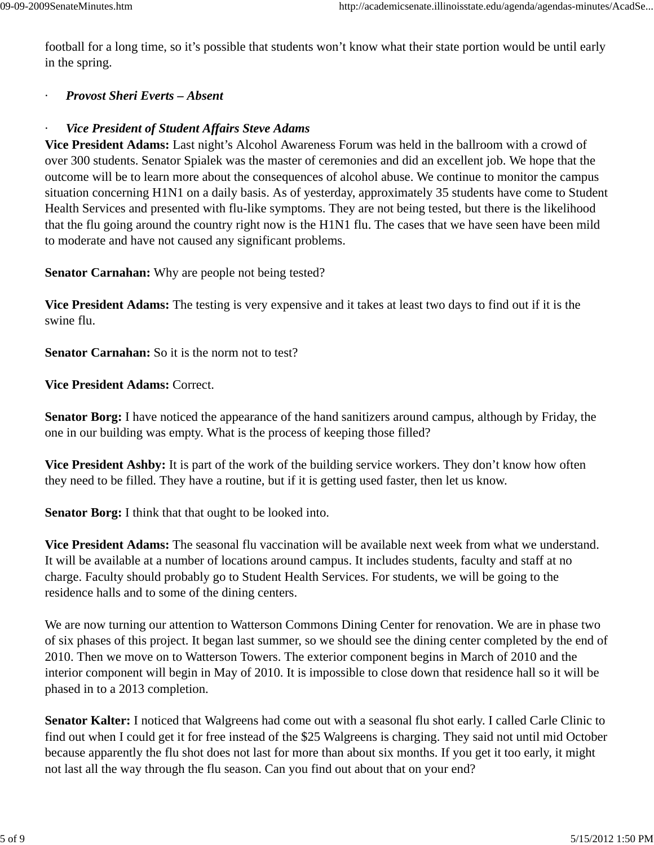football for a long time, so it's possible that students won't know what their state portion would be until early in the spring.

#### · *Provost Sheri Everts – Absent*

#### · *Vice President of Student Affairs Steve Adams*

**Vice President Adams:** Last night's Alcohol Awareness Forum was held in the ballroom with a crowd of over 300 students. Senator Spialek was the master of ceremonies and did an excellent job. We hope that the outcome will be to learn more about the consequences of alcohol abuse. We continue to monitor the campus situation concerning H1N1 on a daily basis. As of yesterday, approximately 35 students have come to Student Health Services and presented with flu-like symptoms. They are not being tested, but there is the likelihood that the flu going around the country right now is the H1N1 flu. The cases that we have seen have been mild to moderate and have not caused any significant problems.

**Senator Carnahan:** Why are people not being tested?

**Vice President Adams:** The testing is very expensive and it takes at least two days to find out if it is the swine flu.

**Senator Carnahan:** So it is the norm not to test?

**Vice President Adams:** Correct.

**Senator Borg:** I have noticed the appearance of the hand sanitizers around campus, although by Friday, the one in our building was empty. What is the process of keeping those filled?

**Vice President Ashby:** It is part of the work of the building service workers. They don't know how often they need to be filled. They have a routine, but if it is getting used faster, then let us know.

**Senator Borg:** I think that that ought to be looked into.

**Vice President Adams:** The seasonal flu vaccination will be available next week from what we understand. It will be available at a number of locations around campus. It includes students, faculty and staff at no charge. Faculty should probably go to Student Health Services. For students, we will be going to the residence halls and to some of the dining centers.

We are now turning our attention to Watterson Commons Dining Center for renovation. We are in phase two of six phases of this project. It began last summer, so we should see the dining center completed by the end of 2010. Then we move on to Watterson Towers. The exterior component begins in March of 2010 and the interior component will begin in May of 2010. It is impossible to close down that residence hall so it will be phased in to a 2013 completion.

**Senator Kalter:** I noticed that Walgreens had come out with a seasonal flu shot early. I called Carle Clinic to find out when I could get it for free instead of the \$25 Walgreens is charging. They said not until mid October because apparently the flu shot does not last for more than about six months. If you get it too early, it might not last all the way through the flu season. Can you find out about that on your end?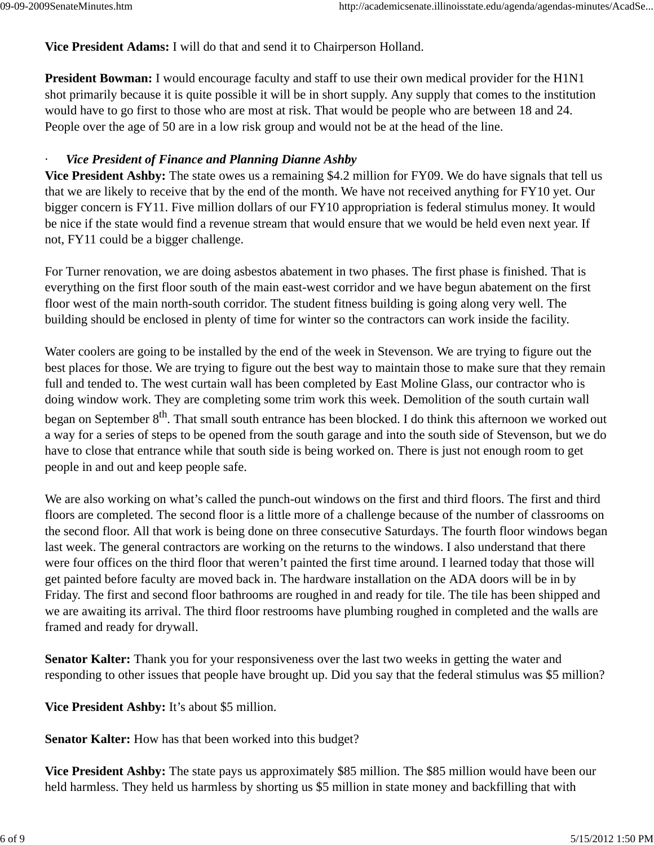**Vice President Adams:** I will do that and send it to Chairperson Holland.

**President Bowman:** I would encourage faculty and staff to use their own medical provider for the H1N1 shot primarily because it is quite possible it will be in short supply. Any supply that comes to the institution would have to go first to those who are most at risk. That would be people who are between 18 and 24. People over the age of 50 are in a low risk group and would not be at the head of the line.

## · *Vice President of Finance and Planning Dianne Ashby*

**Vice President Ashby:** The state owes us a remaining \$4.2 million for FY09. We do have signals that tell us that we are likely to receive that by the end of the month. We have not received anything for FY10 yet. Our bigger concern is FY11. Five million dollars of our FY10 appropriation is federal stimulus money. It would be nice if the state would find a revenue stream that would ensure that we would be held even next year. If not, FY11 could be a bigger challenge.

For Turner renovation, we are doing asbestos abatement in two phases. The first phase is finished. That is everything on the first floor south of the main east-west corridor and we have begun abatement on the first floor west of the main north-south corridor. The student fitness building is going along very well. The building should be enclosed in plenty of time for winter so the contractors can work inside the facility.

Water coolers are going to be installed by the end of the week in Stevenson. We are trying to figure out the best places for those. We are trying to figure out the best way to maintain those to make sure that they remain full and tended to. The west curtain wall has been completed by East Moline Glass, our contractor who is doing window work. They are completing some trim work this week. Demolition of the south curtain wall began on September 8<sup>th</sup>. That small south entrance has been blocked. I do think this afternoon we worked out a way for a series of steps to be opened from the south garage and into the south side of Stevenson, but we do have to close that entrance while that south side is being worked on. There is just not enough room to get people in and out and keep people safe.

We are also working on what's called the punch-out windows on the first and third floors. The first and third floors are completed. The second floor is a little more of a challenge because of the number of classrooms on the second floor. All that work is being done on three consecutive Saturdays. The fourth floor windows began last week. The general contractors are working on the returns to the windows. I also understand that there were four offices on the third floor that weren't painted the first time around. I learned today that those will get painted before faculty are moved back in. The hardware installation on the ADA doors will be in by Friday. The first and second floor bathrooms are roughed in and ready for tile. The tile has been shipped and we are awaiting its arrival. The third floor restrooms have plumbing roughed in completed and the walls are framed and ready for drywall.

**Senator Kalter:** Thank you for your responsiveness over the last two weeks in getting the water and responding to other issues that people have brought up. Did you say that the federal stimulus was \$5 million?

**Vice President Ashby:** It's about \$5 million.

**Senator Kalter:** How has that been worked into this budget?

**Vice President Ashby:** The state pays us approximately \$85 million. The \$85 million would have been our held harmless. They held us harmless by shorting us \$5 million in state money and backfilling that with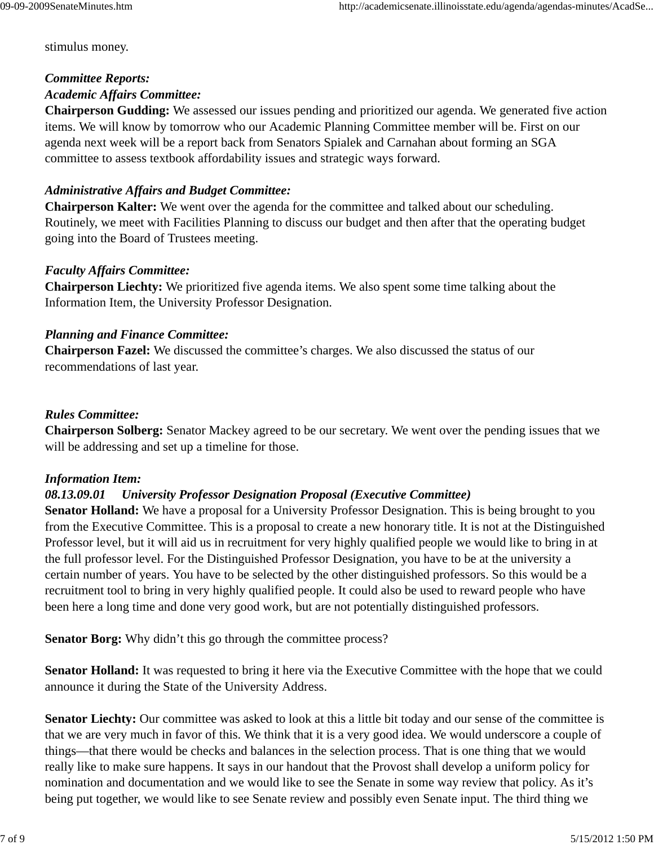stimulus money.

#### *Committee Reports:*

#### *Academic Affairs Committee:*

**Chairperson Gudding:** We assessed our issues pending and prioritized our agenda. We generated five action items. We will know by tomorrow who our Academic Planning Committee member will be. First on our agenda next week will be a report back from Senators Spialek and Carnahan about forming an SGA committee to assess textbook affordability issues and strategic ways forward.

## *Administrative Affairs and Budget Committee:*

**Chairperson Kalter:** We went over the agenda for the committee and talked about our scheduling. Routinely, we meet with Facilities Planning to discuss our budget and then after that the operating budget going into the Board of Trustees meeting.

## *Faculty Affairs Committee:*

**Chairperson Liechty:** We prioritized five agenda items. We also spent some time talking about the Information Item, the University Professor Designation.

## *Planning and Finance Committee:*

**Chairperson Fazel:** We discussed the committee's charges. We also discussed the status of our recommendations of last year.

# *Rules Committee:*

**Chairperson Solberg:** Senator Mackey agreed to be our secretary. We went over the pending issues that we will be addressing and set up a timeline for those.

## *Information Item:*

## *08.13.09.01 University Professor Designation Proposal (Executive Committee)*

**Senator Holland:** We have a proposal for a University Professor Designation. This is being brought to you from the Executive Committee. This is a proposal to create a new honorary title. It is not at the Distinguished Professor level, but it will aid us in recruitment for very highly qualified people we would like to bring in at the full professor level. For the Distinguished Professor Designation, you have to be at the university a certain number of years. You have to be selected by the other distinguished professors. So this would be a recruitment tool to bring in very highly qualified people. It could also be used to reward people who have been here a long time and done very good work, but are not potentially distinguished professors.

Senator Borg: Why didn't this go through the committee process?

**Senator Holland:** It was requested to bring it here via the Executive Committee with the hope that we could announce it during the State of the University Address.

**Senator Liechty:** Our committee was asked to look at this a little bit today and our sense of the committee is that we are very much in favor of this. We think that it is a very good idea. We would underscore a couple of things—that there would be checks and balances in the selection process. That is one thing that we would really like to make sure happens. It says in our handout that the Provost shall develop a uniform policy for nomination and documentation and we would like to see the Senate in some way review that policy. As it's being put together, we would like to see Senate review and possibly even Senate input. The third thing we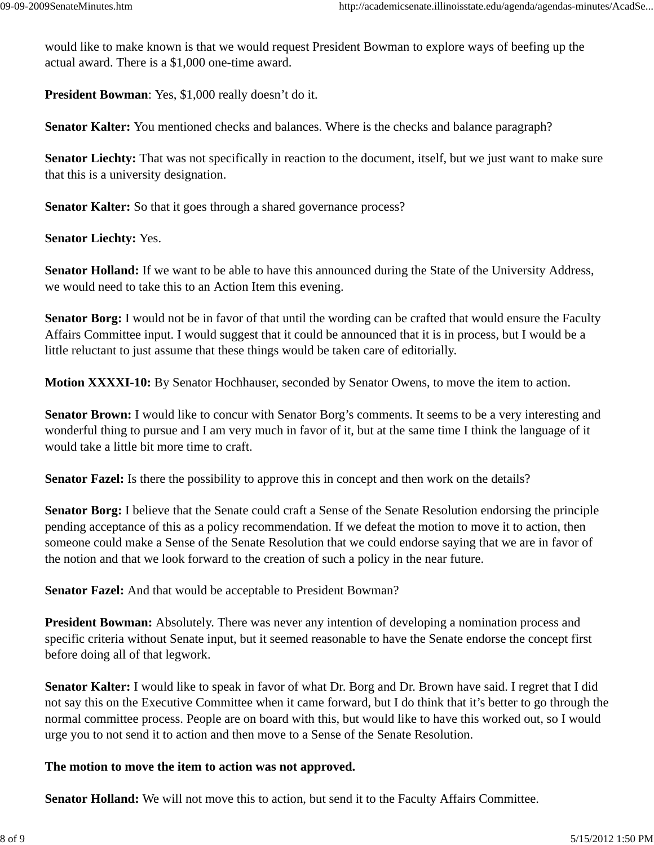would like to make known is that we would request President Bowman to explore ways of beefing up the actual award. There is a \$1,000 one-time award.

**President Bowman**: Yes, \$1,000 really doesn't do it.

**Senator Kalter:** You mentioned checks and balances. Where is the checks and balance paragraph?

**Senator Liechty:** That was not specifically in reaction to the document, itself, but we just want to make sure that this is a university designation.

**Senator Kalter:** So that it goes through a shared governance process?

**Senator Liechty:** Yes.

**Senator Holland:** If we want to be able to have this announced during the State of the University Address, we would need to take this to an Action Item this evening.

**Senator Borg:** I would not be in favor of that until the wording can be crafted that would ensure the Faculty Affairs Committee input. I would suggest that it could be announced that it is in process, but I would be a little reluctant to just assume that these things would be taken care of editorially.

**Motion XXXXI-10:** By Senator Hochhauser, seconded by Senator Owens, to move the item to action.

**Senator Brown:** I would like to concur with Senator Borg's comments. It seems to be a very interesting and wonderful thing to pursue and I am very much in favor of it, but at the same time I think the language of it would take a little bit more time to craft.

**Senator Fazel:** Is there the possibility to approve this in concept and then work on the details?

**Senator Borg:** I believe that the Senate could craft a Sense of the Senate Resolution endorsing the principle pending acceptance of this as a policy recommendation. If we defeat the motion to move it to action, then someone could make a Sense of the Senate Resolution that we could endorse saying that we are in favor of the notion and that we look forward to the creation of such a policy in the near future.

**Senator Fazel:** And that would be acceptable to President Bowman?

**President Bowman:** Absolutely. There was never any intention of developing a nomination process and specific criteria without Senate input, but it seemed reasonable to have the Senate endorse the concept first before doing all of that legwork.

**Senator Kalter:** I would like to speak in favor of what Dr. Borg and Dr. Brown have said. I regret that I did not say this on the Executive Committee when it came forward, but I do think that it's better to go through the normal committee process. People are on board with this, but would like to have this worked out, so I would urge you to not send it to action and then move to a Sense of the Senate Resolution.

#### **The motion to move the item to action was not approved.**

**Senator Holland:** We will not move this to action, but send it to the Faculty Affairs Committee.